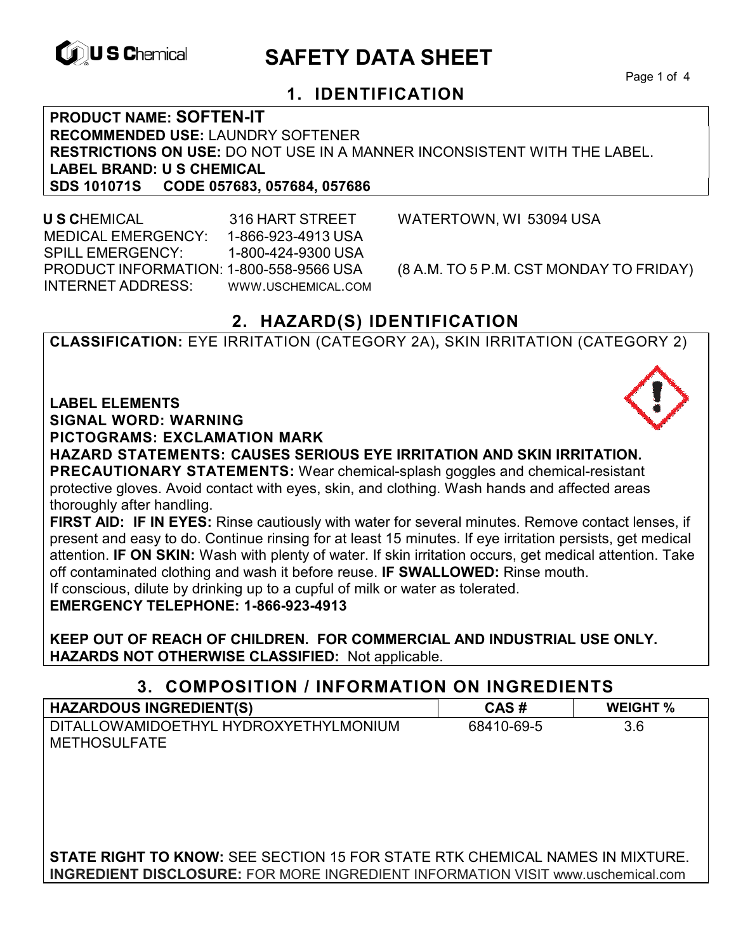

# **EXAGREM** SAFETY DATA SHEET

Page 1 of 4

## **1. IDENTIFICATION**

**PRODUCT NAME: SOFTEN-IT RECOMMENDED USE:** LAUNDRY SOFTENER **RESTRICTIONS ON USE:** DO NOT USE IN A MANNER INCONSISTENT WITH THE LABEL. **LABEL BRAND: U S CHEMICAL SDS 101071S CODE 057683, 057684, 057686** 

 **U S C**HEMICAL 316 HART STREET WATERTOWN, WI 53094 USA MEDICAL EMERGENCY: 1-866-923-4913 USA SPILL EMERGENCY: 1-800-424-9300 USA PRODUCT INFORMATION: 1-800-558-9566 USA (8 A.M. TO 5 P.M. CST MONDAY TO FRIDAY) INTERNET ADDRESS: WWW.USCHEMICAL.COM

## **2. HAZARD(S) IDENTIFICATION**

**CLASSIFICATION:** EYE IRRITATION (CATEGORY 2A)**,** SKIN IRRITATION (CATEGORY 2)

**LABEL ELEMENTS** 

**SIGNAL WORD: WARNING**

**PICTOGRAMS: EXCLAMATION MARK**

**HAZARD STATEMENTS: CAUSES SERIOUS EYE IRRITATION AND SKIN IRRITATION. PRECAUTIONARY STATEMENTS:** Wear chemical-splash goggles and chemical-resistant protective gloves. Avoid contact with eyes, skin, and clothing. Wash hands and affected areas thoroughly after handling.

**FIRST AID: IF IN EYES:** Rinse cautiously with water for several minutes. Remove contact lenses, if present and easy to do. Continue rinsing for at least 15 minutes. If eye irritation persists, get medical attention. **IF ON SKIN:** Wash with plenty of water. If skin irritation occurs, get medical attention. Take off contaminated clothing and wash it before reuse. **IF SWALLOWED:** Rinse mouth. If conscious, dilute by drinking up to a cupful of milk or water as tolerated.

**EMERGENCY TELEPHONE: 1-866-923-4913** 

**KEEP OUT OF REACH OF CHILDREN. FOR COMMERCIAL AND INDUSTRIAL USE ONLY. HAZARDS NOT OTHERWISE CLASSIFIED:** Not applicable.

## **3. COMPOSITION / INFORMATION ON INGREDIENTS**

| <b>HAZARDOUS INGREDIENT(S)</b>                               | CAS#       | <b>WEIGHT %</b> |
|--------------------------------------------------------------|------------|-----------------|
| DITALLOWAMIDOETHYL HYDROXYETHYLMONIUM<br><b>METHOSULFATE</b> | 68410-69-5 | 3.6             |
|                                                              |            |                 |

**STATE RIGHT TO KNOW:** SEE SECTION 15 FOR STATE RTK CHEMICAL NAMES IN MIXTURE. **INGREDIENT DISCLOSURE:** FOR MORE INGREDIENT INFORMATION VISIT www.uschemical.com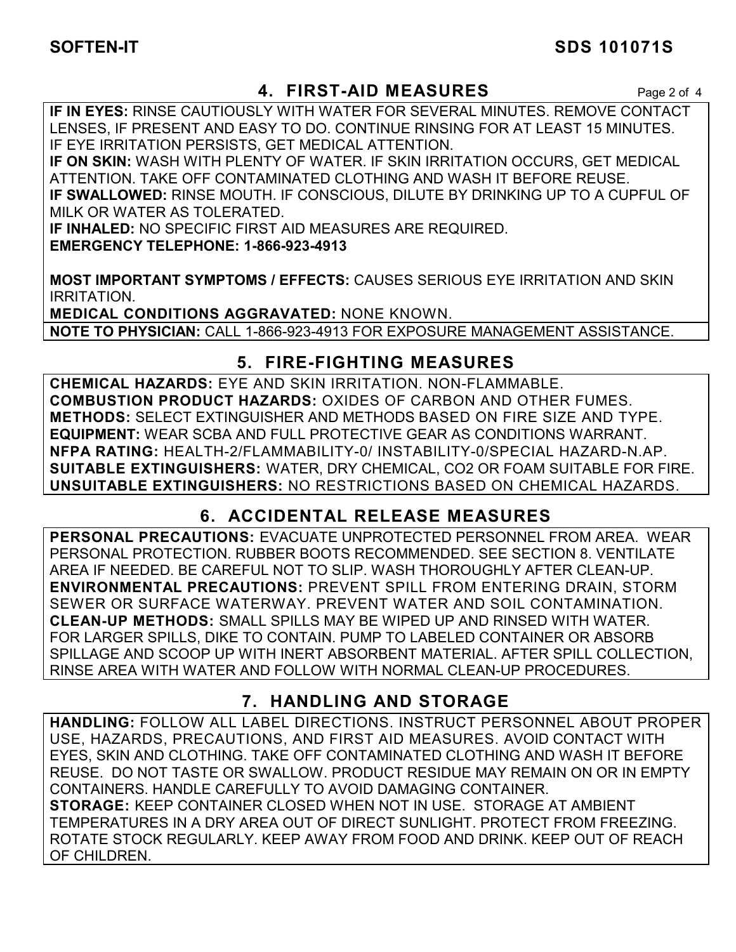## **SOFTEN-IT SDS 101071S**

## **4. FIRST-AID MEASURES** Page 2 of 4

**IF IN EYES:** RINSE CAUTIOUSLY WITH WATER FOR SEVERAL MINUTES. REMOVE CONTACT LENSES, IF PRESENT AND EASY TO DO. CONTINUE RINSING FOR AT LEAST 15 MINUTES. IF EYE IRRITATION PERSISTS, GET MEDICAL ATTENTION.

**IF ON SKIN:** WASH WITH PLENTY OF WATER. IF SKIN IRRITATION OCCURS, GET MEDICAL ATTENTION. TAKE OFF CONTAMINATED CLOTHING AND WASH IT BEFORE REUSE. **IF SWALLOWED:** RINSE MOUTH. IF CONSCIOUS, DILUTE BY DRINKING UP TO A CUPFUL OF MILK OR WATER AS TOLERATED.

**IF INHALED:** NO SPECIFIC FIRST AID MEASURES ARE REQUIRED. **EMERGENCY TELEPHONE: 1-866-923-4913** 

**MOST IMPORTANT SYMPTOMS / EFFECTS:** CAUSES SERIOUS EYE IRRITATION AND SKIN IRRITATION.

**MEDICAL CONDITIONS AGGRAVATED:** NONE KNOWN. **NOTE TO PHYSICIAN:** CALL 1-866-923-4913 FOR EXPOSURE MANAGEMENT ASSISTANCE.

## **5. FIRE-FIGHTING MEASURES**

**CHEMICAL HAZARDS:** EYE AND SKIN IRRITATION. NON-FLAMMABLE. **COMBUSTION PRODUCT HAZARDS:** OXIDES OF CARBON AND OTHER FUMES. **METHODS:** SELECT EXTINGUISHER AND METHODS BASED ON FIRE SIZE AND TYPE. **EQUIPMENT:** WEAR SCBA AND FULL PROTECTIVE GEAR AS CONDITIONS WARRANT. **NFPA RATING:** HEALTH-2/FLAMMABILITY-0/ INSTABILITY-0/SPECIAL HAZARD-N.AP. **SUITABLE EXTINGUISHERS:** WATER, DRY CHEMICAL, CO2 OR FOAM SUITABLE FOR FIRE. **UNSUITABLE EXTINGUISHERS:** NO RESTRICTIONS BASED ON CHEMICAL HAZARDS.

## **6. ACCIDENTAL RELEASE MEASURES**

**PERSONAL PRECAUTIONS:** EVACUATE UNPROTECTED PERSONNEL FROM AREA. WEAR PERSONAL PROTECTION. RUBBER BOOTS RECOMMENDED. SEE SECTION 8. VENTILATE AREA IF NEEDED. BE CAREFUL NOT TO SLIP. WASH THOROUGHLY AFTER CLEAN-UP. **ENVIRONMENTAL PRECAUTIONS:** PREVENT SPILL FROM ENTERING DRAIN, STORM SEWER OR SURFACE WATERWAY. PREVENT WATER AND SOIL CONTAMINATION. **CLEAN-UP METHODS:** SMALL SPILLS MAY BE WIPED UP AND RINSED WITH WATER. FOR LARGER SPILLS, DIKE TO CONTAIN. PUMP TO LABELED CONTAINER OR ABSORB SPILLAGE AND SCOOP UP WITH INERT ABSORBENT MATERIAL. AFTER SPILL COLLECTION, RINSE AREA WITH WATER AND FOLLOW WITH NORMAL CLEAN-UP PROCEDURES.

## **7. HANDLING AND STORAGE**

**HANDLING:** FOLLOW ALL LABEL DIRECTIONS. INSTRUCT PERSONNEL ABOUT PROPER USE, HAZARDS, PRECAUTIONS, AND FIRST AID MEASURES. AVOID CONTACT WITH EYES, SKIN AND CLOTHING. TAKE OFF CONTAMINATED CLOTHING AND WASH IT BEFORE REUSE. DO NOT TASTE OR SWALLOW. PRODUCT RESIDUE MAY REMAIN ON OR IN EMPTY CONTAINERS. HANDLE CAREFULLY TO AVOID DAMAGING CONTAINER. **STORAGE:** KEEP CONTAINER CLOSED WHEN NOT IN USE. STORAGE AT AMBIENT TEMPERATURES IN A DRY AREA OUT OF DIRECT SUNLIGHT. PROTECT FROM FREEZING. ROTATE STOCK REGULARLY. KEEP AWAY FROM FOOD AND DRINK. KEEP OUT OF REACH OF CHILDREN.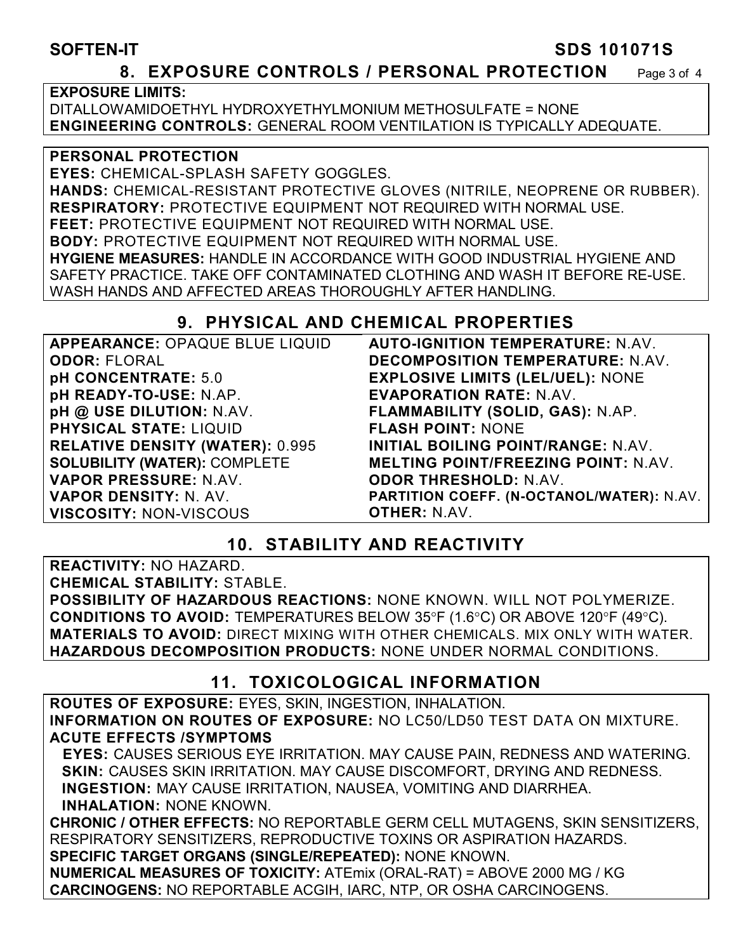#### **SOFTEN-IT SDS 101071S**

#### **8. EXPOSURE CONTROLS / PERSONAL PROTECTION** Page 3 of 4

#### **EXPOSURE LIMITS:**

DITALLOWAMIDOETHYL HYDROXYETHYLMONIUM METHOSULFATE = NONE **ENGINEERING CONTROLS:** GENERAL ROOM VENTILATION IS TYPICALLY ADEQUATE.

#### **PERSONAL PROTECTION**

**EYES:** CHEMICAL-SPLASH SAFETY GOGGLES. **HANDS:** CHEMICAL-RESISTANT PROTECTIVE GLOVES (NITRILE, NEOPRENE OR RUBBER). **RESPIRATORY:** PROTECTIVE EQUIPMENT NOT REQUIRED WITH NORMAL USE. **FEET:** PROTECTIVE EQUIPMENT NOT REQUIRED WITH NORMAL USE. **BODY:** PROTECTIVE EQUIPMENT NOT REQUIRED WITH NORMAL USE. **HYGIENE MEASURES:** HANDLE IN ACCORDANCE WITH GOOD INDUSTRIAL HYGIENE AND SAFETY PRACTICE. TAKE OFF CONTAMINATED CLOTHING AND WASH IT BEFORE RE-USE. WASH HANDS AND AFFECTED AREAS THOROUGHLY AFTER HANDLING.

## **9. PHYSICAL AND CHEMICAL PROPERTIES**

| APPEARANCE: OPAQUE BLUE LIQUID         | <b>AUTO-IGNITION TEMPERATURE: N.AV.</b>    |
|----------------------------------------|--------------------------------------------|
| <b>ODOR: FLORAL</b>                    | <b>DECOMPOSITION TEMPERATURE: N.AV.</b>    |
| pH CONCENTRATE: 5.0                    | <b>EXPLOSIVE LIMITS (LEL/UEL): NONE</b>    |
| pH READY-TO-USE: N.AP.                 | <b>EVAPORATION RATE: N.AV.</b>             |
| pH @ USE DILUTION: N.AV.               | FLAMMABILITY (SOLID, GAS): N.AP.           |
| <b>PHYSICAL STATE: LIQUID</b>          | <b>FLASH POINT: NONE</b>                   |
| <b>RELATIVE DENSITY (WATER): 0.995</b> | <b>INITIAL BOILING POINT/RANGE: N.AV.</b>  |
| <b>SOLUBILITY (WATER): COMPLETE</b>    | <b>MELTING POINT/FREEZING POINT: N.AV.</b> |
| VAPOR PRESSURE: N.AV.                  | <b>ODOR THRESHOLD: N.AV.</b>               |
| VAPOR DENSITY: N. AV.                  | PARTITION COEFF. (N-OCTANOL/WATER): N.AV.  |
| <b>VISCOSITY: NON-VISCOUS</b>          | <b>OTHER: N.AV.</b>                        |

## **10. STABILITY AND REACTIVITY**

**REACTIVITY:** NO HAZARD.

**CHEMICAL STABILITY:** STABLE.

**POSSIBILITY OF HAZARDOUS REACTIONS:** NONE KNOWN. WILL NOT POLYMERIZE. **CONDITIONS TO AVOID:** TEMPERATURES BELOW 35°F (1.6°C) OR ABOVE 120°F (49°C). **MATERIALS TO AVOID:** DIRECT MIXING WITH OTHER CHEMICALS. MIX ONLY WITH WATER. **HAZARDOUS DECOMPOSITION PRODUCTS:** NONE UNDER NORMAL CONDITIONS.

## **11. TOXICOLOGICAL INFORMATION**

**ROUTES OF EXPOSURE:** EYES, SKIN, INGESTION, INHALATION. **INFORMATION ON ROUTES OF EXPOSURE:** NO LC50/LD50 TEST DATA ON MIXTURE. **ACUTE EFFECTS /SYMPTOMS** 

 **EYES:** CAUSES SERIOUS EYE IRRITATION. MAY CAUSE PAIN, REDNESS AND WATERING. **SKIN:** CAUSES SKIN IRRITATION. MAY CAUSE DISCOMFORT, DRYING AND REDNESS. **INGESTION:** MAY CAUSE IRRITATION, NAUSEA, VOMITING AND DIARRHEA. **INHALATION:** NONE KNOWN.

**CHRONIC / OTHER EFFECTS:** NO REPORTABLE GERM CELL MUTAGENS, SKIN SENSITIZERS, RESPIRATORY SENSITIZERS, REPRODUCTIVE TOXINS OR ASPIRATION HAZARDS. **SPECIFIC TARGET ORGANS (SINGLE/REPEATED):** NONE KNOWN.

**NUMERICAL MEASURES OF TOXICITY:** ATEmix (ORAL-RAT) = ABOVE 2000 MG / KG **CARCINOGENS:** NO REPORTABLE ACGIH, IARC, NTP, OR OSHA CARCINOGENS.